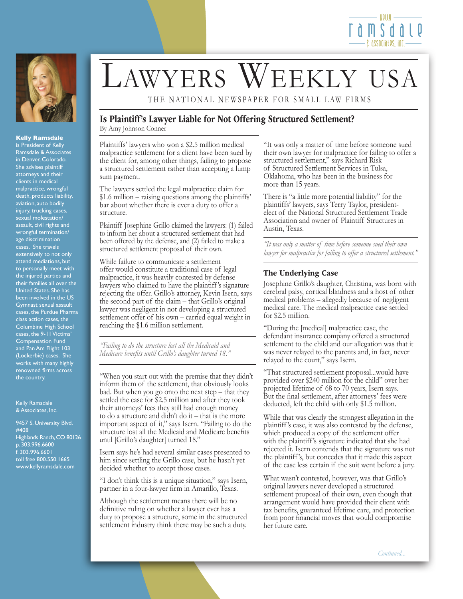



#### **Kelly Ramsdale**

is President of Kelly Ramsdale & Associates in Denver, Colorado. She advises plaintiff attorneys and their clients in medical malpractice, wrongful death, products liability, aviation, auto bodily injury, trucking cases, sexual molestation/ assault, civil rights and wrongful termination/ age discrimination cases. She travels extensively to not only attend mediations, but to personally meet with the injured parties and their families all over the United States. She has been involved in the US Gymnast sexual assault cases, the Purdue Pharma class action cases, the Columbine High School cases, the 9-11 Victims' Compensation Fund and Pan Am Flight 103 (Lockerbie) cases. She works with many highly renowned firms across the country.

Kelly Ramsdale & Associates, Inc.

9457 S. University Blvd. #408 Highlands Ranch, CO 80126 p. 303.996.6600 f. 303.996.6601 toll free 800.550.1665 www.kellyramsdale.com

# LAWYERS WEEKLY USA

THE NATIONAL NEWSPAPER FOR SMALL LAW FIRMS

## Is Plaintiff's Lawyer Liable for Not Offering Structured Settlement? By Amy Johnson Conner

Plaintiffs' lawyers who won a \$2.5 million medical malpractice settlement for a client have been sued by the client for, among other things, failing to propose a structured settlement rather than accepting a lump sum payment.

The lawyers settled the legal malpractice claim for \$1.6 million – raising questions among the plaintiffs' bar about whether there is ever a duty to offer a structure.

Plaintiff Josephine Grillo claimed the lawyers: (1) failed to inform her about a structured settlement that had been offered by the defense, and (2) failed to make a structured settlement proposal of their own.

While failure to communicate a settlement offer would constitute a traditional case of legal malpractice, it was heavily contested by defense lawyers who claimed to have the plaintiff 's signature rejecting the offer. Grillo's attorney, Kevin Isern, says the second part of the claim – that Grillo's original lawyer was negligent in not developing a structured settlement offer of his own – carried equal weight in reaching the \$1.6 million settlement.

*"Failing to do the structure lost all the Medicaid and Medicare benefits until Grillo's daughter turned 18."*

"When you start out with the premise that they didn't inform them of the settlement, that obviously looks bad. But when you go onto the next step – that they settled the case for \$2.5 million and after they took their attorneys' fees they still had enough money to do a structure and didn't do it – that is the more important aspect of it," says Isern. "Failing to do the structure lost all the Medicaid and Medicare benefits until [Grillo's daughter] turned 18."

Isern says he's had several similar cases presented to him since settling the Grillo case, but he hasn't yet decided whether to accept those cases.

"I don't think this is a unique situation," says Isern, partner in a four-lawyer firm in Amarillo, Texas.

Although the settlement means there will be no definitive ruling on whether a lawyer ever has a duty to propose a structure, some in the structured settlement industry think there may be such a duty. "It was only a matter of time before someone sued their own lawyer for malpractice for failing to offer a structured settlement," says Richard Risk of Structured Settlement Services in Tulsa, Oklahoma, who has been in the business for more than 15 years.

There is "a little more potential liability" for the plaintiffs' lawyers, says Terry Taylor, presidentelect of the National Structured Settlement Trade Association and owner of Plaintiff Structures in Austin, Texas.

*"It was only a matter of time before someone sued their own lawyer for malpractice for failing to offer a structured settlement."*

### The Underlying Case

Josephine Grillo's daughter, Christina, was born with cerebral palsy, cortical blindness and a host of other medical problems – allegedly because of negligent medical care. The medical malpractice case settled for \$2.5 million.

"During the [medical] malpractice case, the defendant insurance company offered a structured settlement to the child and our allegation was that it was never relayed to the parents and, in fact, never relayed to the court," says Isern.

"That structured settlement proposal...would have provided over \$240 million for the child" over her projected lifetime of 68 to 70 years, Isern says. But the final settlement, after attorneys' fees were deducted, left the child with only \$1.5 million.

While that was clearly the strongest allegation in the plaintiff 's case, it was also contested by the defense, which produced a copy of the settlement offer with the plaintiff 's signature indicated that she had rejected it. Isern contends that the signature was not the plaintiff 's, but concedes that it made this aspect of the case less certain if the suit went before a jury.

What wasn't contested, however, was that Grillo's original lawyers never developed a structured settlement proposal of their own, even though that arrangement would have provided their client with tax benefits, guaranteed lifetime care, and protection from poor financial moves that would compromise her future care.